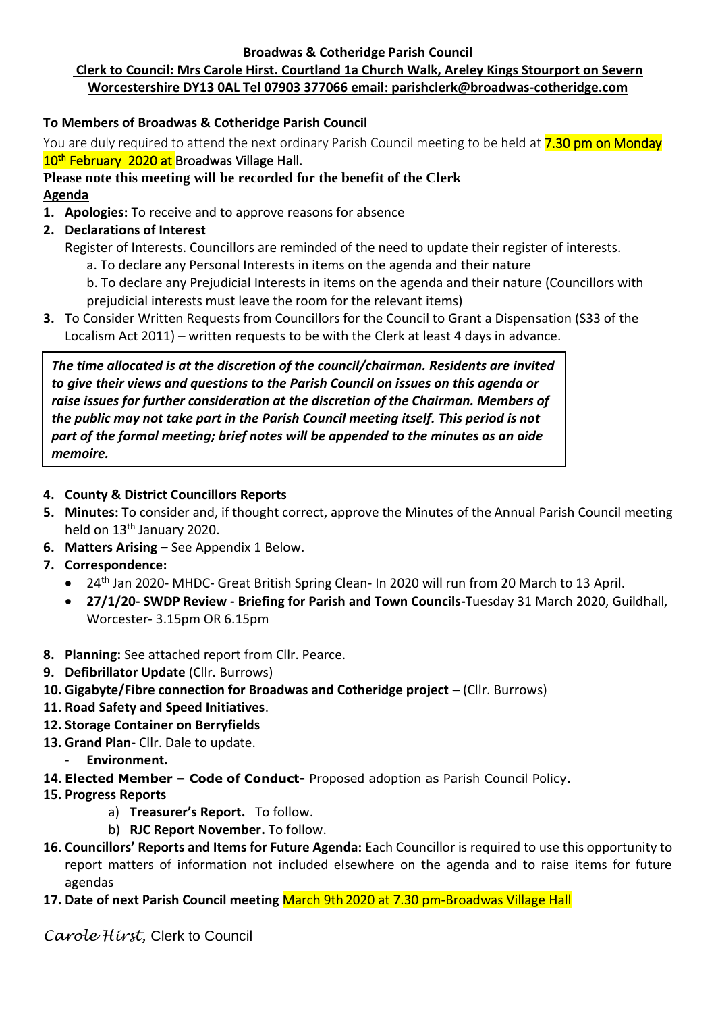#### **Broadwas & Cotheridge Parish Council**

# **Clerk to Council: Mrs Carole Hirst. Courtland 1a Church Walk, Areley Kings Stourport on Severn Worcestershire DY13 0AL Tel 07903 377066 email: parishclerk@broadwas-cotheridge.com**

## **To Members of Broadwas & Cotheridge Parish Council**

You are duly required to attend the next ordinary Parish Council meeting to be held at **7.30 pm on Monday** 10<sup>th</sup> February 2020 at Broadwas Village Hall.

## **Please note this meeting will be recorded for the benefit of the Clerk Agenda**

- **1. Apologies:** To receive and to approve reasons for absence
- **2. Declarations of Interest**
	- Register of Interests. Councillors are reminded of the need to update their register of interests.
		- a. To declare any Personal Interests in items on the agenda and their nature
		- b. To declare any Prejudicial Interests in items on the agenda and their nature (Councillors with prejudicial interests must leave the room for the relevant items)
- **3.** To Consider Written Requests from Councillors for the Council to Grant a Dispensation (S33 of the Localism Act 2011) – written requests to be with the Clerk at least 4 days in advance.

*The time allocated is at the discretion of the council/chairman. Residents are invited to give their views and questions to the Parish Council on issues on this agenda or raise issues for further consideration at the discretion of the Chairman. Members of the public may not take part in the Parish Council meeting itself. This period is not part of the formal meeting; brief notes will be appended to the minutes as an aide memoire.*

### **4. County & District Councillors Reports**

- **5. Minutes:** To consider and, if thought correct, approve the Minutes of the Annual Parish Council meeting held on 13<sup>th</sup> January 2020.
- **6. Matters Arising –** See Appendix 1 Below.
- **7. Correspondence:**
	- 24<sup>th</sup> Jan 2020- MHDC- Great British Spring Clean- In 2020 will run from 20 March to 13 April.
	- **27/1/20- SWDP Review - Briefing for Parish and Town Councils-**Tuesday 31 March 2020, Guildhall, Worcester- 3.15pm OR 6.15pm
- **8. Planning:** See attached report from Cllr. Pearce.
- **9. Defibrillator Update** (Cllr**.** Burrows)
- **10. Gigabyte/Fibre connection for Broadwas and Cotheridge project –** (Cllr. Burrows)
- **11. Road Safety and Speed Initiatives**.
- **12. Storage Container on Berryfields**
- **13. Grand Plan-** Cllr. Dale to update.
	- **Environment.**
- **14. Elected Member – Code of Conduct-** Proposed adoption as Parish Council Policy.
- **15. Progress Reports**
	- a) **Treasurer's Report.** To follow.
	- b) **RJC Report November.** To follow.
- **16. Councillors' Reports and Items for Future Agenda:** Each Councillor is required to use this opportunity to report matters of information not included elsewhere on the agenda and to raise items for future agendas
- **17. Date of next Parish Council meeting** March 9th 2020 at 7.30 pm-Broadwas Village Hall

*Carole Hirst,* Clerk to Council